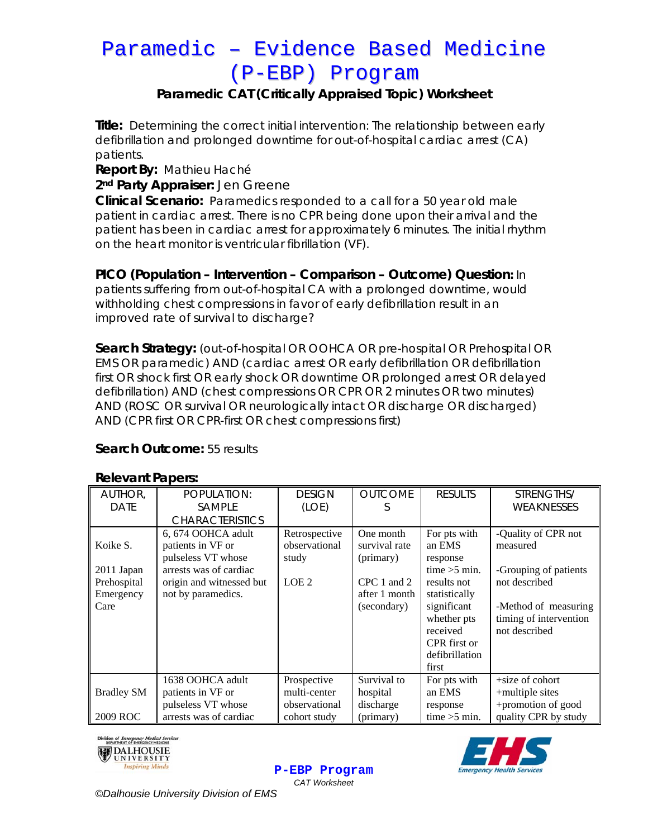# Paramedic – Evidence Based Medicine (P-EBP) Program

## **Paramedic CAT (Critically Appraised Topic) Worksheet**

**Title:** Determining the correct initial intervention: The relationship between early defibrillation and prolonged downtime for out-of-hospital cardiac arrest (CA) patients.

**Report By:** Mathieu Haché

**2nd Party Appraiser:** Jen Greene

**Clinical Scenario:** Paramedics responded to a call for a 50 year old male patient in cardiac arrest. There is no CPR being done upon their arrival and the patient has been in cardiac arrest for approximately 6 minutes. The initial rhythm on the heart monitor is ventricular fibrillation (VF).

### **PICO (Population – Intervention – Comparison – Outcome) Question:** In

patients suffering from out-of-hospital CA with a prolonged downtime, would withholding chest compressions in favor of early defibrillation result in an improved rate of survival to discharge?

**Search Strategy:** (out-of-hospital OR OOHCA OR pre-hospital OR Prehospital OR EMS OR paramedic) AND (cardiac arrest OR early defibrillation OR defibrillation first OR shock first OR early shock OR downtime OR prolonged arrest OR delayed defibrillation) AND (chest compressions OR CPR OR 2 minutes OR two minutes) AND (ROSC OR survival OR neurologically intact OR discharge OR discharged) AND (CPR first OR CPR-first OR chest compressions first)

### **Search Outcome:** 55 results

#### **Relevant Papers:**

| <u></u>           |                          |                  |                |                |                        |  |  |  |  |
|-------------------|--------------------------|------------------|----------------|----------------|------------------------|--|--|--|--|
| AUTHOR,           | POPULATION:              | <b>DESIGN</b>    | <b>OUTCOME</b> | <b>RESULTS</b> | STRENGTHS/             |  |  |  |  |
| <b>DATE</b>       | <b>SAMPLE</b>            | (LOE)            | C              |                | WEAKNESSES             |  |  |  |  |
|                   | <b>CHARACTERISTICS</b>   |                  |                |                |                        |  |  |  |  |
|                   | 6, 674 OOHCA adult       | Retrospective    | One month      | For pts with   | -Quality of CPR not    |  |  |  |  |
| Koike S.          | patients in VF or        | observational    | survival rate  | an EMS         | measured               |  |  |  |  |
|                   | pulseless VT whose       | study            | (primary)      | response       |                        |  |  |  |  |
| 2011 Japan        | arrests was of cardiac   |                  |                | time $>5$ min. | -Grouping of patients  |  |  |  |  |
| Prehospital       | origin and witnessed but | LOE <sub>2</sub> | CPC 1 and 2    | results not    | not described          |  |  |  |  |
| Emergency         | not by paramedics.       |                  | after 1 month  | statistically  |                        |  |  |  |  |
| Care              |                          |                  | (secondary)    | significant    | -Method of measuring   |  |  |  |  |
|                   |                          |                  |                | whether pts    | timing of intervention |  |  |  |  |
|                   |                          |                  |                | received       | not described          |  |  |  |  |
|                   |                          |                  |                | CPR first or   |                        |  |  |  |  |
|                   |                          |                  |                | defibrillation |                        |  |  |  |  |
|                   |                          |                  |                | first          |                        |  |  |  |  |
|                   | 1638 OOHCA adult         | Prospective      | Survival to    | For pts with   | $+size$ of cohort      |  |  |  |  |
| <b>Bradley SM</b> | patients in VF or        | multi-center     | hospital       | an EMS         | +multiple sites        |  |  |  |  |
|                   | pulseless VT whose       | observational    | discharge      | response       | +promotion of good     |  |  |  |  |
| 2009 ROC          | arrests was of cardiac   | cohort study     | (primary)      | time $>5$ min. | quality CPR by study   |  |  |  |  |







*©Dalhousie University Division of EMS*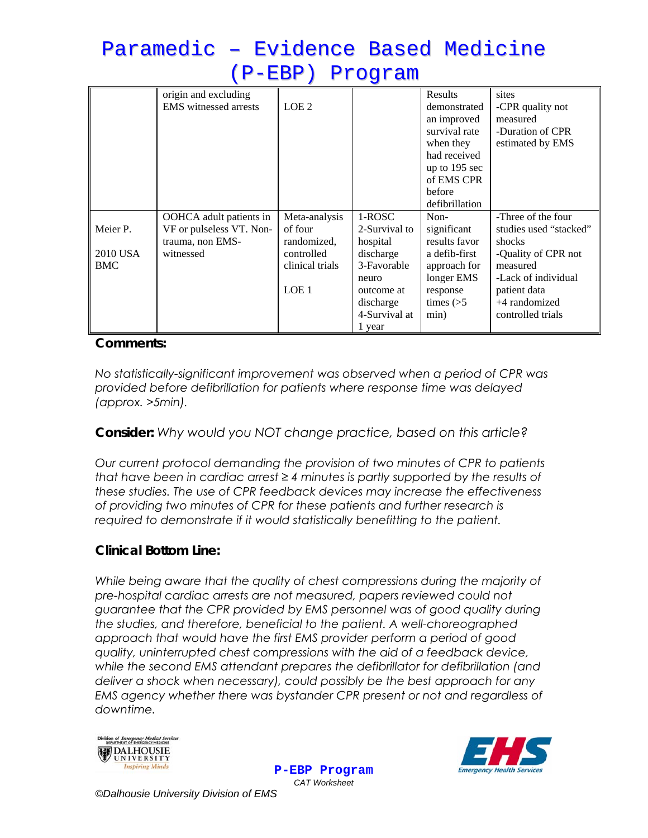# Paramedic – Evidence Based Medicine (P-EBP) Program

|            | origin and excluding         |                  |               | Results        | sites                  |
|------------|------------------------------|------------------|---------------|----------------|------------------------|
|            | <b>EMS</b> witnessed arrests | LOE <sub>2</sub> |               | demonstrated   | -CPR quality not       |
|            |                              |                  |               | an improved    | measured               |
|            |                              |                  |               | survival rate  | -Duration of CPR       |
|            |                              |                  |               | when they      | estimated by EMS       |
|            |                              |                  |               | had received   |                        |
|            |                              |                  |               | up to 195 sec  |                        |
|            |                              |                  |               | of EMS CPR     |                        |
|            |                              |                  |               | before         |                        |
|            |                              |                  |               | defibrillation |                        |
|            | OOHCA adult patients in      | Meta-analysis    | 1-ROSC        | Non-           | -Three of the four     |
| Meier P.   | VF or pulseless VT. Non-     | of four          | 2-Survival to | significant    | studies used "stacked" |
|            | trauma, non EMS-             | randomized,      | hospital      | results favor  | shocks                 |
| 2010 USA   | witnessed                    | controlled       | discharge     | a defib-first  | -Quality of CPR not    |
| <b>BMC</b> |                              | clinical trials  | 3-Favorable   | approach for   | measured               |
|            |                              |                  | neuro         | longer EMS     | -Lack of individual    |
|            |                              | LOE <sub>1</sub> | outcome at    | response       | patient data           |
|            |                              |                  | discharge     | times $($ >5   | +4 randomized          |
|            |                              |                  | 4-Survival at | min)           | controlled trials      |
|            |                              |                  | 1 year        |                |                        |

### **Comments:**

*No statistically-significant improvement was observed when a period of CPR was provided before defibrillation for patients where response time was delayed (approx. >5min).* 

## **Consider:** *Why would you NOT change practice, based on this article?*

*Our current protocol demanding the provision of two minutes of CPR to patients that have been in cardiac arrest ≥ 4 minutes is partly supported by the results of these studies. The use of CPR feedback devices may increase the effectiveness of providing two minutes of CPR for these patients and further research is required to demonstrate if it would statistically benefitting to the patient.* 

## **Clinical Bottom Line:**

*While being aware that the quality of chest compressions during the majority of pre-hospital cardiac arrests are not measured, papers reviewed could not guarantee that the CPR provided by EMS personnel was of good quality during the studies, and therefore, beneficial to the patient. A well-choreographed approach that would have the first EMS provider perform a period of good quality, uninterrupted chest compressions with the aid of a feedback device, while the second EMS attendant prepares the defibrillator for defibrillation (and deliver a shock when necessary), could possibly be the best approach for any EMS agency whether there was bystander CPR present or not and regardless of downtime.* 



**P-EBP Program** *CAT Worksheet* 



*©Dalhousie University Division of EMS*